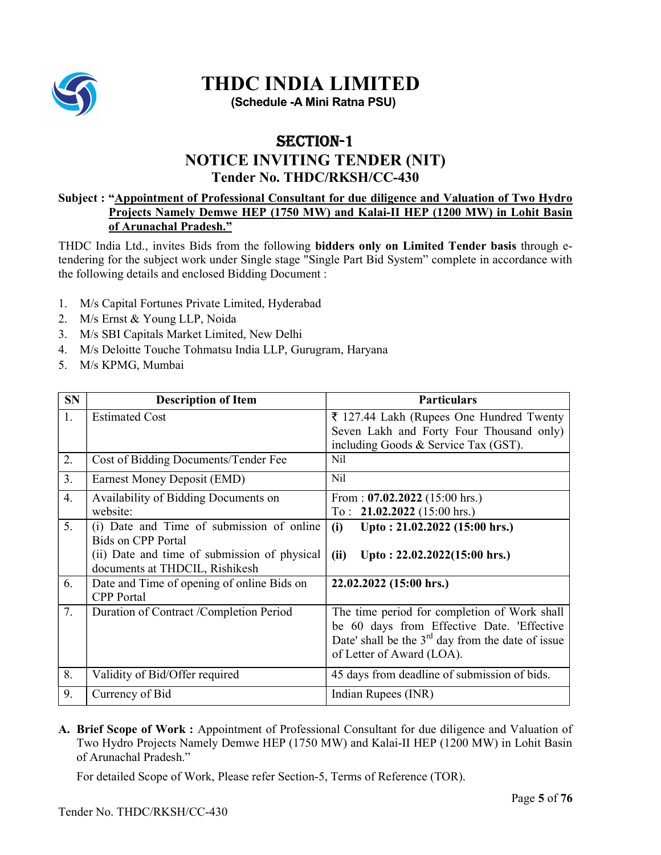

# THDC INDIA LIMITED

(Schedule -A Mini Ratna PSU)

## SECTION-1

## NOTICE INVITING TENDER (NIT)

### Tender No. THDC/RKSH/CC-430

#### Subject : "Appointment of Professional Consultant for due diligence and Valuation of Two Hydro Projects Namely Demwe HEP (1750 MW) and Kalai-II HEP (1200 MW) in Lohit Basin of Arunachal Pradesh."

THDC India Ltd., invites Bids from the following bidders only on Limited Tender basis through etendering for the subject work under Single stage "Single Part Bid System" complete in accordance with the following details and enclosed Bidding Document :

- 1. M/s Capital Fortunes Private Limited, Hyderabad
- 2. M/s Ernst & Young LLP, Noida
- 3. M/s SBI Capitals Market Limited, New Delhi
- 4. M/s Deloitte Touche Tohmatsu India LLP, Gurugram, Haryana
- 5. M/s KPMG, Mumbai

| <b>SN</b> | <b>Description of Item</b>                                                     | <b>Particulars</b>                                                                                                                                                             |
|-----------|--------------------------------------------------------------------------------|--------------------------------------------------------------------------------------------------------------------------------------------------------------------------------|
| 1.        | <b>Estimated Cost</b>                                                          | ₹ 127.44 Lakh (Rupees One Hundred Twenty                                                                                                                                       |
|           |                                                                                | Seven Lakh and Forty Four Thousand only)<br>including Goods & Service Tax (GST).                                                                                               |
| 2.        | Cost of Bidding Documents/Tender Fee                                           | Nil                                                                                                                                                                            |
| 3.        | Earnest Money Deposit (EMD)                                                    | N <sub>il</sub>                                                                                                                                                                |
| 4.        | Availability of Bidding Documents on                                           | From: $07.02.2022$ (15:00 hrs.)                                                                                                                                                |
|           | website:                                                                       | To: $21.02.2022$ (15:00 hrs.)                                                                                                                                                  |
| 5.        | (i) Date and Time of submission of online<br><b>Bids on CPP Portal</b>         | Upto: 21.02.2022 (15:00 hrs.)<br>(i)                                                                                                                                           |
|           | (ii) Date and time of submission of physical<br>documents at THDCIL, Rishikesh | Upto: $22.02.2022(15:00$ hrs.)<br>(ii)                                                                                                                                         |
| 6.        | Date and Time of opening of online Bids on<br><b>CPP</b> Portal                | 22.02.2022 (15:00 hrs.)                                                                                                                                                        |
| 7.        | Duration of Contract /Completion Period                                        | The time period for completion of Work shall<br>be 60 days from Effective Date. 'Effective<br>Date' shall be the $3rd$ day from the date of issue<br>of Letter of Award (LOA). |
| 8.        | Validity of Bid/Offer required                                                 | 45 days from deadline of submission of bids.                                                                                                                                   |
| 9.        | Currency of Bid                                                                | Indian Rupees (INR)                                                                                                                                                            |

A. Brief Scope of Work : Appointment of Professional Consultant for due diligence and Valuation of Two Hydro Projects Namely Demwe HEP (1750 MW) and Kalai-II HEP (1200 MW) in Lohit Basin of Arunachal Pradesh."

For detailed Scope of Work, Please refer Section-5, Terms of Reference (TOR).